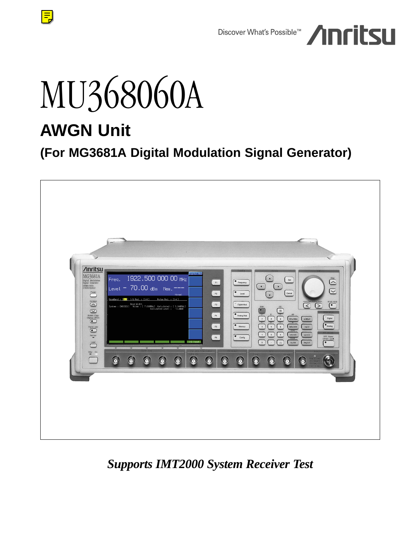

# MU368060A

# **AWGN Unit**

 $\equiv$ 

# **(For MG3681A Digital Modulation Signal Generator)**



## *Supports IMT2000 System Receiver Test*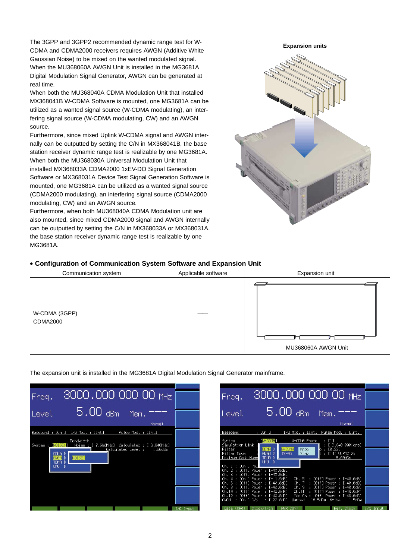The 3GPP and 3GPP2 recommended dynamic range test for W-CDMA and CDMA2000 receivers requires AWGN (Additive White Gaussian Noise) to be mixed on the wanted modulated signal. When the MU368060A AWGN Unit is installed in the MG3681A Digital Modulation Signal Generator, AWGN can be generated at real time.

When both the MU368040A CDMA Modulation Unit that installed MX368041B W-CDMA Software is mounted, one MG3681A can be utilized as a wanted signal source (W-CDMA modulating), an interfering signal source (W-CDMA modulating, CW) and an AWGN source.

Furthermore, since mixed Uplink W-CDMA signal and AWGN internally can be outputted by setting the C/N in MX368041B, the base station receiver dynamic range test is realizable by one MG3681A. When both the MU368030A Universal Modulation Unit that installed MX368033A CDMA2000 1xEV-DO Signal Generation Software or MX368031A Device Test Signal Generation Software is mounted, one MG3681A can be utilized as a wanted signal source (CDMA2000 modulating), an interfering signal source (CDMA2000 modulating, CW) and an AWGN source.

Furthermore, when both MU368040A CDMA Modulation unit are also mounted, since mixed CDMA2000 signal and AWGN internally can be outputted by setting the C/N in MX368033A or MX368031A, the base station receiver dynamic range test is realizable by one MG3681A.

# **Expansion units**

### **• Configuration of Communication System Software and Expansion Unit**



The expansion unit is installed in the MG3681A Digital Modulation Signal Generator mainframe.

| Freq.                             | 3000.000 000 00 MHz                                                                                                                                                  |             |
|-----------------------------------|----------------------------------------------------------------------------------------------------------------------------------------------------------------------|-------------|
| Level                             | $5.00$ dBm Mem.<br>Normal                                                                                                                                            |             |
|                                   | Baseband : [On ] [/Q Mod. : [Int]<br>Pulse Mod. : [Int]<br>Bandwidth<br>System : [NOISE1] Noise : [ 7.680MHz] Calculated : [ 3.840MHz]<br>Calculated Level : 1.56dBm |             |
| AWGN<br><b>ANOT</b><br><b>UMU</b> | CDMA D<br>NOTSET<br>D<br>N                                                                                                                                           |             |
|                                   |                                                                                                                                                                      |             |
|                                   |                                                                                                                                                                      |             |
|                                   |                                                                                                                                                                      | $I/Q$ Input |

| $3000,000,000,00$ MHz<br>Freq.                                                                                                                                                                                                                                                                                        |           |
|-----------------------------------------------------------------------------------------------------------------------------------------------------------------------------------------------------------------------------------------------------------------------------------------------------------------------|-----------|
| $5.00$ dBm<br>Mem.<br>Level<br>Normal                                                                                                                                                                                                                                                                                 |           |
| Baseband<br>$:$ [On ]<br>I/Q Mod. : [Int] Pulse Mod. : [Int]<br><b>N</b> U-CDMAN<br><b>W-CDMA Phase</b><br>System<br>8 M I<br>Simulation Link :<br>: [ 3.840 000Mcps]                                                                                                                                                 |           |
| <b>CDMA</b> D<br>M-CDMA<br>Filter Theory<br>Knob<br>: 10.221<br>Filter Mode<br>$15 - 95$<br>[14] ULRMC12k<br>AWGN D<br>Step<br>٠<br>TDMA D<br>Maximum Code Numb<br>5.00dBm<br>$UNU \rightarrow$                                                                                                                       |           |
| Ch. 1 : [On ] Pow <b>l</b><br>Ch. 2 : [Off] Power : [-40.0dB]<br>Ch. 3 : [Off] Power : [-40.0dB]<br>Ch. 5 : [Off] Power : [-40.0dB]<br>4 : [On ] Power : [- 1.9dB]<br>Ch.<br>6 : [Off] Power : [-40.0dB]<br>Ch. 7<br>: [Off] Power : [-40.0dB]<br>Ch.                                                                 |           |
| Ch. 8 : [Off] Power : [-40.0dB]<br>Ch. 9<br>: [Off] Power : [-40.0dB]<br>Ch.10 : [Off] Power : [-40.0dB]<br>Ch.11<br>[Off] Power : [-40.0dB]<br>g.<br>Ch.12 : [Off] Power : [-40.0dB]<br>Off Power: [-40.0dB]<br>Add Ch :<br><b>AWGN</b><br>$LOn$ $J$ $C/N$<br>$: F-20.0dB$<br>Wanted - 18.5dBm Noise<br>1.5dBm<br>B. |           |
| Data (CH4) Clock/Trig<br>PUR CONT<br>Ref. Clock                                                                                                                                                                                                                                                                       | I/Q Input |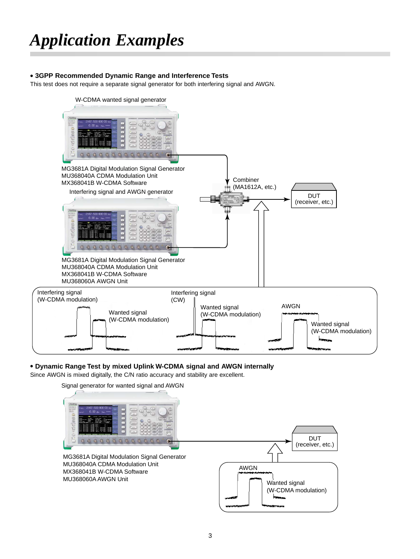### **• 3GPP Recommended Dynamic Range and Interference Tests**

This test does not require a separate signal generator for both interfering signal and AWGN.



### **• Dynamic Range Test by mixed Uplink W-CDMA signal and AWGN internally**

Since AWGN is mixed digitally, the C/N ratio accuracy and stability are excellent.